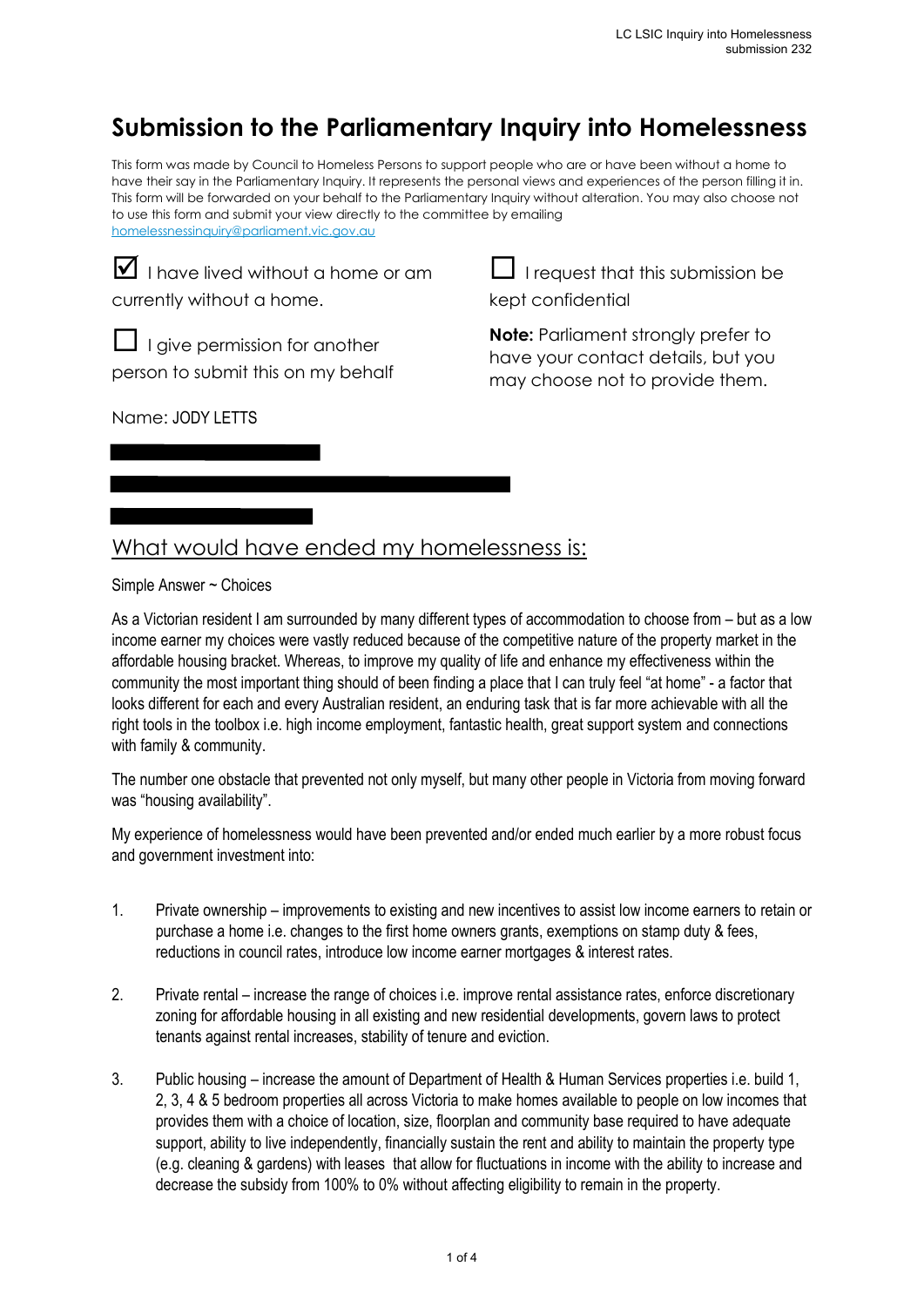## **Submission to the Parliamentary Inquiry into Homelessness**

This form was made by Council to Homeless Persons to support people who are or have been without a home to have their say in the Parliamentary Inquiry. It represents the personal views and experiences of the person filling it in. This form will be forwarded on your behalf to the Parliamentary Inquiry without alteration. You may also choose not to use this form and submit your view directly to the committee by emailing homelessnessinquiry@parliament.vic.gov.au

 $\blacksquare$  I have lived without a home or am currently without a home.

 $\Box$  I request that this submission be kept confidential

 $\Box$  I give permission for another person to submit this on my behalf

Name: JODY LETTS

**Note:** Parliament strongly prefer to have your contact details, but you may choose not to provide them.

## What would have ended my homelessness is:

Simple Answer ~ Choices

As a Victorian resident I am surrounded by many different types of accommodation to choose from – but as a low income earner my choices were vastly reduced because of the competitive nature of the property market in the affordable housing bracket. Whereas, to improve my quality of life and enhance my effectiveness within the community the most important thing should of been finding a place that I can truly feel "at home" - a factor that looks different for each and every Australian resident, an enduring task that is far more achievable with all the right tools in the toolbox i.e. high income employment, fantastic health, great support system and connections with family & community.

The number one obstacle that prevented not only myself, but many other people in Victoria from moving forward was "housing availability".

My experience of homelessness would have been prevented and/or ended much earlier by a more robust focus and government investment into:

- 1. Private ownership improvements to existing and new incentives to assist low income earners to retain or purchase a home i.e. changes to the first home owners grants, exemptions on stamp duty & fees, reductions in council rates, introduce low income earner mortgages & interest rates.
- 2. Private rental increase the range of choices i.e. improve rental assistance rates, enforce discretionary zoning for affordable housing in all existing and new residential developments, govern laws to protect tenants against rental increases, stability of tenure and eviction.
- 3. Public housing increase the amount of Department of Health & Human Services properties i.e. build 1, 2, 3, 4 & 5 bedroom properties all across Victoria to make homes available to people on low incomes that provides them with a choice of location, size, floorplan and community base required to have adequate support, ability to live independently, financially sustain the rent and ability to maintain the property type (e.g. cleaning & gardens) with leases that allow for fluctuations in income with the ability to increase and decrease the subsidy from 100% to 0% without affecting eligibility to remain in the property.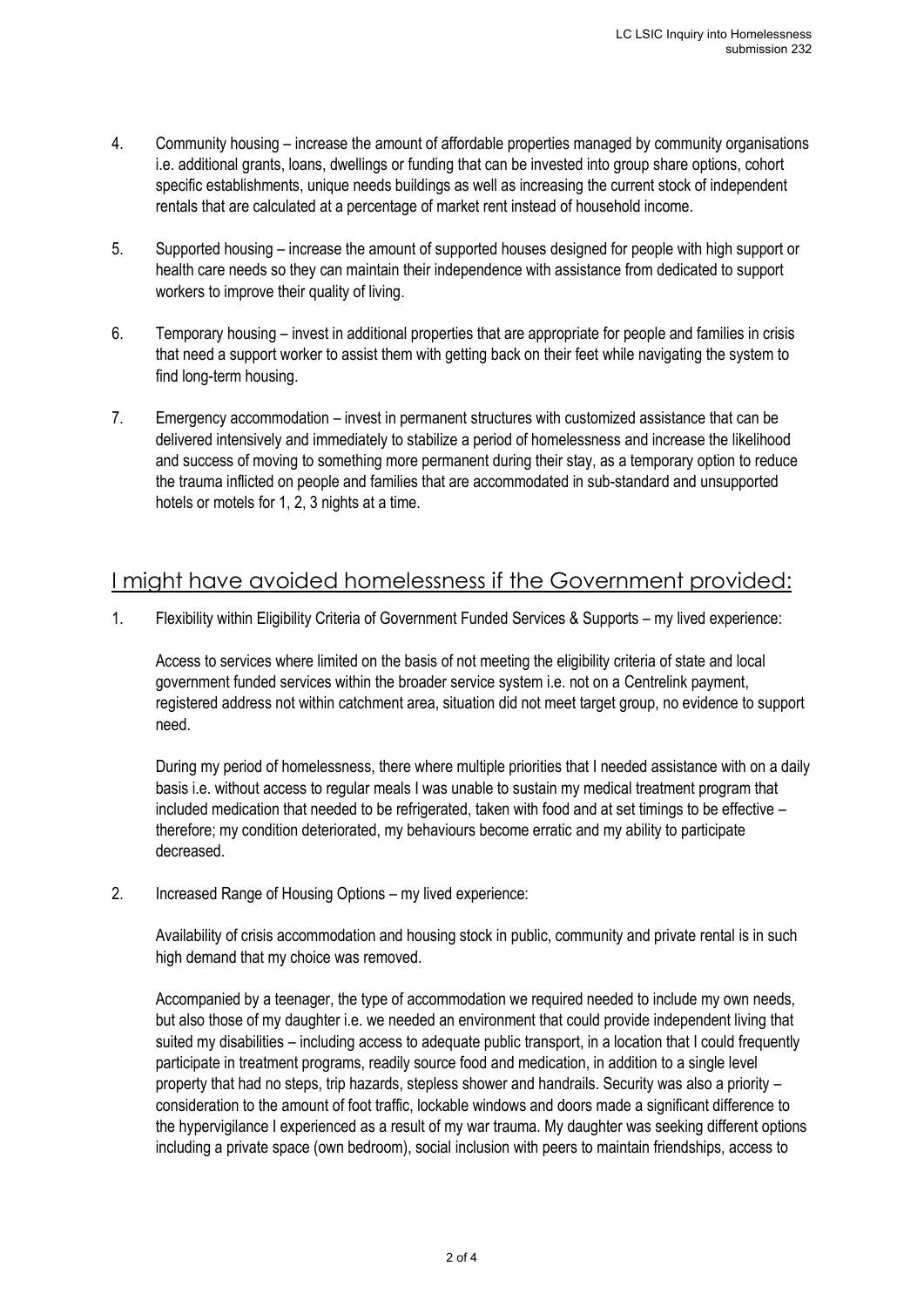- 4. Community housing increase the amount of affordable properties managed by community organisations i.e. additional grants, loans, dwellings or funding that can be invested into group share options, cohort specific establishments, unique needs buildings as well as increasing the current stock of independent rentals that are calculated at a percentage of market rent instead of household income.
- 5. Supported housing increase the amount of supported houses designed for people with high support or health care needs so they can maintain their independence with assistance from dedicated to support workers to improve their quality of living.
- 6. Temporary housing invest in additional properties that are appropriate for people and families in crisis that need a support worker to assist them with getting back on their feet while navigating the system to find long-term housing.
- 7. Emergency accommodation invest in permanent structures with customized assistance that can be delivered intensively and immediately to stabilize a period of homelessness and increase the likelihood and success of moving to something more permanent during their stay, as a temporary option to reduce the trauma inflicted on people and families that are accommodated in sub-standard and unsupported hotels or motels for 1, 2, 3 nights at a time.

## I might have avoided homelessness if the Government provided:

1. Flexibility within Eligibility Criteria of Government Funded Services & Supports – my lived experience:

Access to services where limited on the basis of not meeting the eligibility criteria of state and local government funded services within the broader service system i.e. not on a Centrelink payment, registered address not within catchment area, situation did not meet target group, no evidence to support need.

During my period of homelessness, there where multiple priorities that I needed assistance with on a daily basis i.e. without access to regular meals I was unable to sustain my medical treatment program that included medication that needed to be refrigerated, taken with food and at set timings to be effective – therefore; my condition deteriorated, my behaviours become erratic and my ability to participate decreased.

2. Increased Range of Housing Options – my lived experience:

Availability of crisis accommodation and housing stock in public, community and private rental is in such high demand that my choice was removed.

Accompanied by a teenager, the type of accommodation we required needed to include my own needs, but also those of my daughter i.e. we needed an environment that could provide independent living that suited my disabilities – including access to adequate public transport, in a location that I could frequently participate in treatment programs, readily source food and medication, in addition to a single level property that had no steps, trip hazards, stepless shower and handrails. Security was also a priority – consideration to the amount of foot traffic, lockable windows and doors made a significant difference to the hypervigilance I experienced as a result of my war trauma. My daughter was seeking different options including a private space (own bedroom), social inclusion with peers to maintain friendships, access to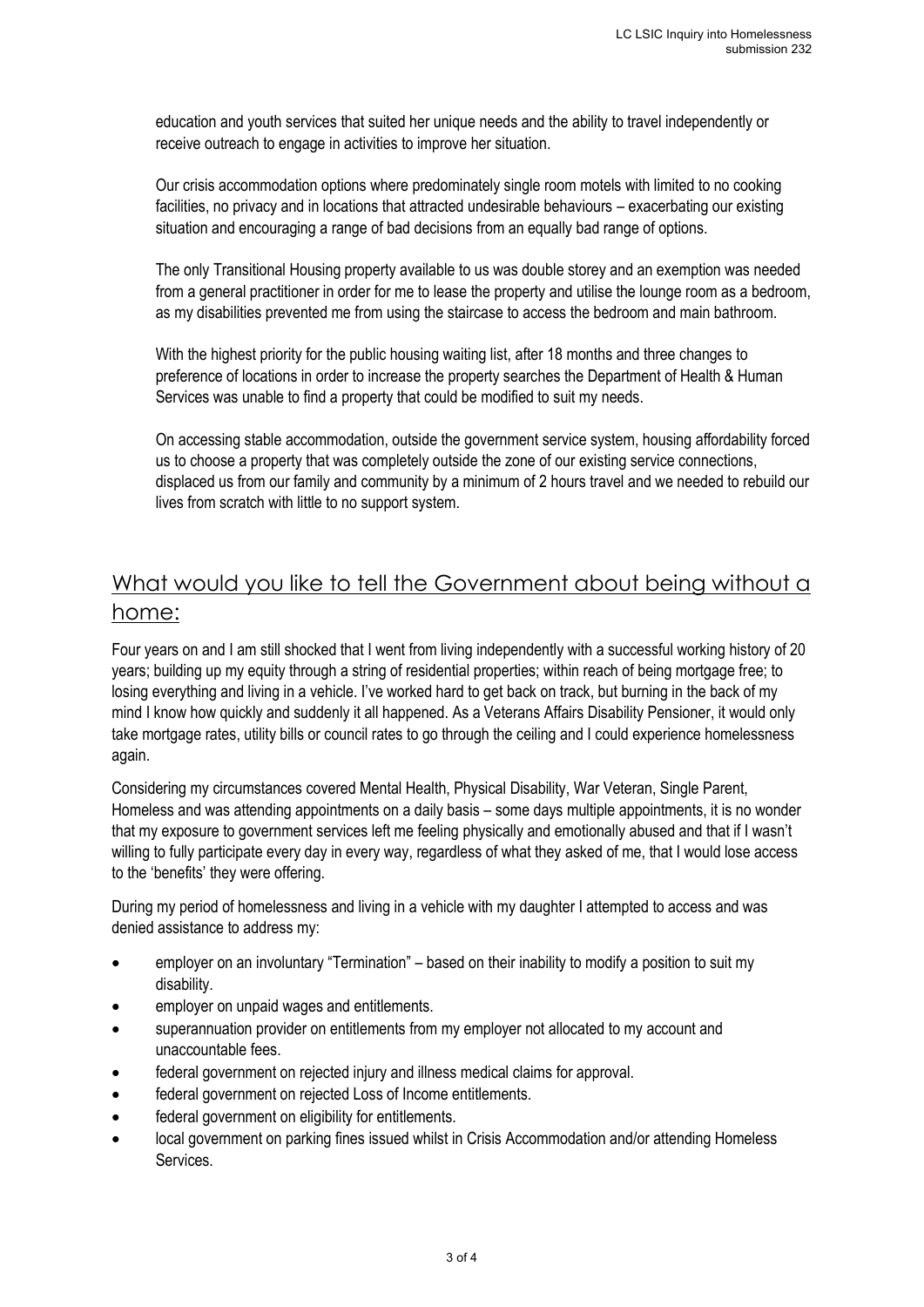education and youth services that suited her unique needs and the ability to travel independently or receive outreach to engage in activities to improve her situation.

Our crisis accommodation options where predominately single room motels with limited to no cooking facilities, no privacy and in locations that attracted undesirable behaviours – exacerbating our existing situation and encouraging a range of bad decisions from an equally bad range of options.

The only Transitional Housing property available to us was double storey and an exemption was needed from a general practitioner in order for me to lease the property and utilise the lounge room as a bedroom, as my disabilities prevented me from using the staircase to access the bedroom and main bathroom.

With the highest priority for the public housing waiting list, after 18 months and three changes to preference of locations in order to increase the property searches the Department of Health & Human Services was unable to find a property that could be modified to suit my needs.

On accessing stable accommodation, outside the government service system, housing affordability forced us to choose a property that was completely outside the zone of our existing service connections, displaced us from our family and community by a minimum of 2 hours travel and we needed to rebuild our lives from scratch with little to no support system.

## What would you like to tell the Government about being without a home:

Four years on and I am still shocked that I went from living independently with a successful working history of 20 years; building up my equity through a string of residential properties; within reach of being mortgage free; to losing everything and living in a vehicle. I've worked hard to get back on track, but burning in the back of my mind I know how quickly and suddenly it all happened. As a Veterans Affairs Disability Pensioner, it would only take mortgage rates, utility bills or council rates to go through the ceiling and I could experience homelessness again.

Considering my circumstances covered Mental Health, Physical Disability, War Veteran, Single Parent, Homeless and was attending appointments on a daily basis – some days multiple appointments, it is no wonder that my exposure to government services left me feeling physically and emotionally abused and that if I wasn't willing to fully participate every day in every way, regardless of what they asked of me, that I would lose access to the 'benefits' they were offering.

During my period of homelessness and living in a vehicle with my daughter I attempted to access and was denied assistance to address my:

- employer on an involuntary "Termination" based on their inability to modify a position to suit my disability.
- employer on unpaid wages and entitlements.
- superannuation provider on entitlements from my employer not allocated to my account and unaccountable fees.
- federal government on rejected injury and illness medical claims for approval.
- federal government on rejected Loss of Income entitlements.
- federal government on eligibility for entitlements.
- local government on parking fines issued whilst in Crisis Accommodation and/or attending Homeless **Services**